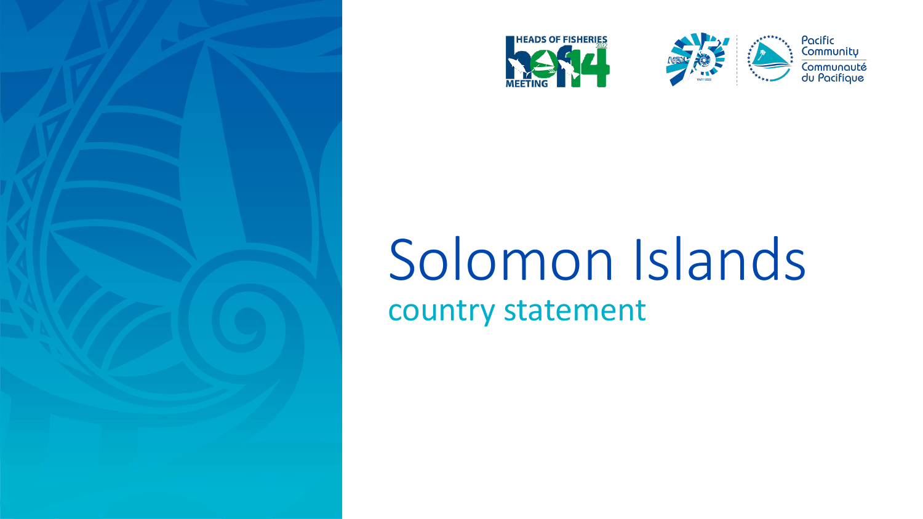





Pacific Community Communauté<br>du Pacifique

## Solomon Islands country statement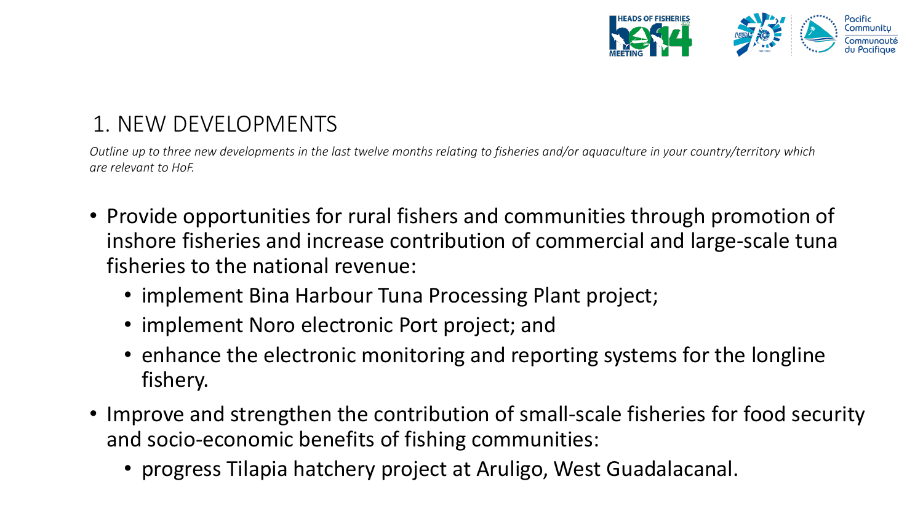

## 1. NEW DEVELOPMENTS

*Outline up to three new developments in the last twelve months relating to fisheries and/or aquaculture in your country/territory which are relevant to HoF.* 

- Provide opportunities for rural fishers and communities through promotion of inshore fisheries and increase contribution of commercial and large-scale tuna fisheries to the national revenue:
	- implement Bina Harbour Tuna Processing Plant project;
	- implement Noro electronic Port project; and
	- enhance the electronic monitoring and reporting systems for the longline fishery.
- Improve and strengthen the contribution of small-scale fisheries for food security and socio-economic benefits of fishing communities:
	- progress Tilapia hatchery project at Aruligo, West Guadalacanal.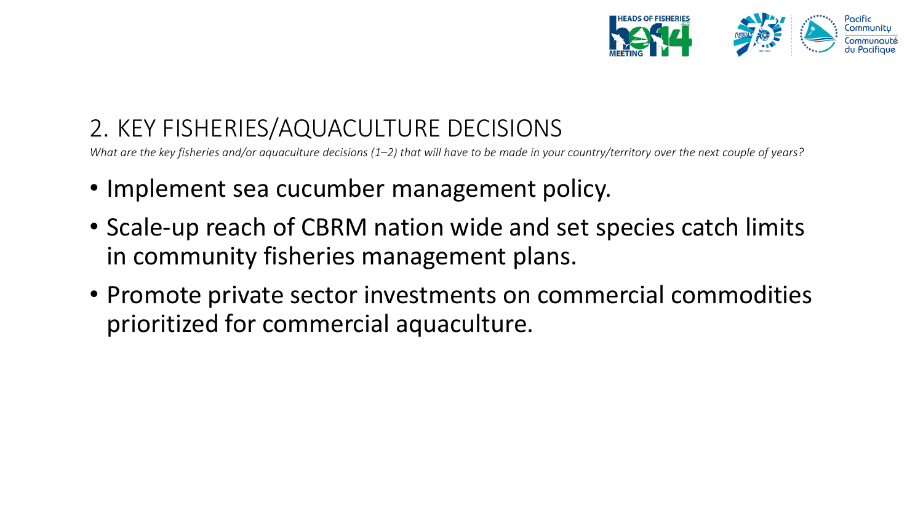

## 2. KEY FISHERIES/AQUACULTURE DECISIONS

*What are the key fisheries and/or aquaculture decisions (1–2) that will have to be made in your country/territory over the next couple of years?*

- Implement sea cucumber management policy.
- Scale-up reach of CBRM nation wide and set species catch limits in community fisheries management plans.
- Promote private sector investments on commercial commodities prioritized for commercial aquaculture.